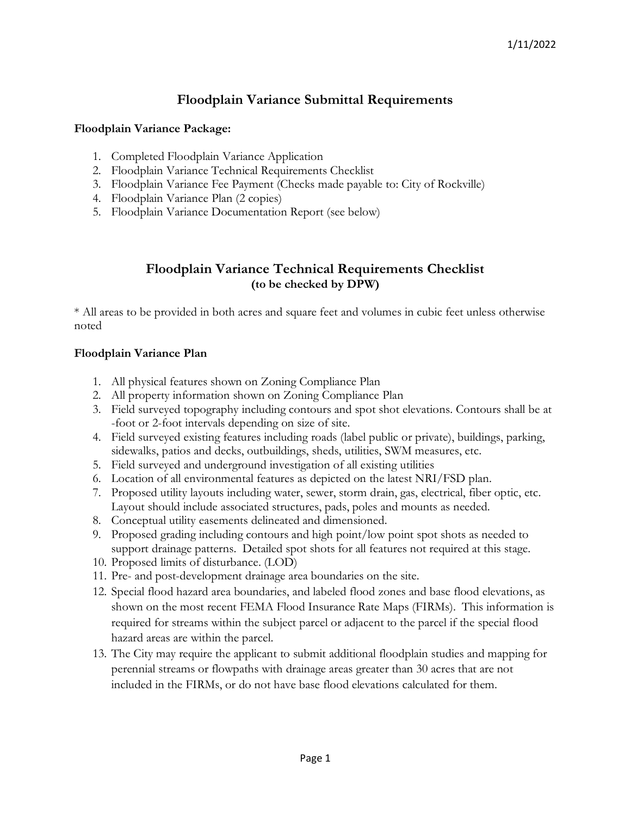# **Floodplain Variance Submittal Requirements**

### **Floodplain Variance Package:**

- 1. Completed Floodplain Variance Application
- 2. Floodplain Variance Technical Requirements Checklist
- 3. Floodplain Variance Fee Payment (Checks made payable to: City of Rockville)
- 4. Floodplain Variance Plan (2 copies)
- 5. Floodplain Variance Documentation Report (see below)

## **Floodplain Variance Technical Requirements Checklist (to be checked by DPW)**

\* All areas to be provided in both acres and square feet and volumes in cubic feet unless otherwise noted

### **Floodplain Variance Plan**

- 1. All physical features shown on Zoning Compliance Plan
- 2. All property information shown on Zoning Compliance Plan
- 3. Field surveyed topography including contours and spot shot elevations. Contours shall be at -foot or 2-foot intervals depending on size of site.
- 4. Field surveyed existing features including roads (label public or private), buildings, parking, sidewalks, patios and decks, outbuildings, sheds, utilities, SWM measures, etc.
- 5. Field surveyed and underground investigation of all existing utilities
- 6. Location of all environmental features as depicted on the latest NRI/FSD plan.
- 7. Proposed utility layouts including water, sewer, storm drain, gas, electrical, fiber optic, etc. Layout should include associated structures, pads, poles and mounts as needed.
- 8. Conceptual utility easements delineated and dimensioned.
- 9. Proposed grading including contours and high point/low point spot shots as needed to support drainage patterns. Detailed spot shots for all features not required at this stage.
- 10. Proposed limits of disturbance. (LOD)
- 11. Pre- and post-development drainage area boundaries on the site.
- 12. Special flood hazard area boundaries, and labeled flood zones and base flood elevations, as shown on the most recent FEMA Flood Insurance Rate Maps (FIRMs). This information is required for streams within the subject parcel or adjacent to the parcel if the special flood hazard areas are within the parcel.
- 13. The City may require the applicant to submit additional floodplain studies and mapping for perennial streams or flowpaths with drainage areas greater than 30 acres that are not included in the FIRMs, or do not have base flood elevations calculated for them.